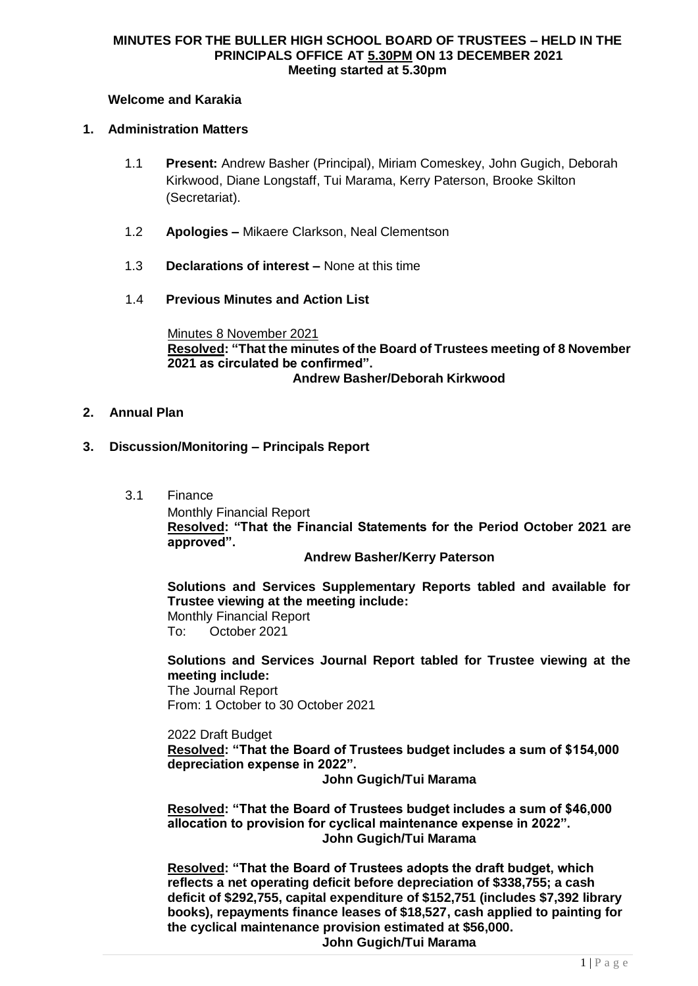#### **MINUTES FOR THE BULLER HIGH SCHOOL BOARD OF TRUSTEES – HELD IN THE PRINCIPALS OFFICE AT 5.30PM ON 13 DECEMBER 2021 Meeting started at 5.30pm**

## **Welcome and Karakia**

## **1. Administration Matters**

- 1.1 **Present:** Andrew Basher (Principal), Miriam Comeskey, John Gugich, Deborah Kirkwood, Diane Longstaff, Tui Marama, Kerry Paterson, Brooke Skilton (Secretariat).
- 1.2 **Apologies –** Mikaere Clarkson, Neal Clementson
- 1.3 **Declarations of interest –** None at this time
- 1.4 **Previous Minutes and Action List**

Minutes 8 November 2021 **Resolved: "That the minutes of the Board of Trustees meeting of 8 November 2021 as circulated be confirmed". Andrew Basher/Deborah Kirkwood**

## **2. Annual Plan**

## **3. Discussion/Monitoring – Principals Report**

3.1 Finance Monthly Financial Report **Resolved: "That the Financial Statements for the Period October 2021 are approved".**

**Andrew Basher/Kerry Paterson**

**Solutions and Services Supplementary Reports tabled and available for Trustee viewing at the meeting include:** Monthly Financial Report To: October 2021

**Solutions and Services Journal Report tabled for Trustee viewing at the meeting include:** The Journal Report

From: 1 October to 30 October 2021

2022 Draft Budget **Resolved: "That the Board of Trustees budget includes a sum of \$154,000 depreciation expense in 2022".**

**John Gugich/Tui Marama**

**Resolved: "That the Board of Trustees budget includes a sum of \$46,000 allocation to provision for cyclical maintenance expense in 2022". John Gugich/Tui Marama**

**Resolved: "That the Board of Trustees adopts the draft budget, which reflects a net operating deficit before depreciation of \$338,755; a cash deficit of \$292,755, capital expenditure of \$152,751 (includes \$7,392 library books), repayments finance leases of \$18,527, cash applied to painting for the cyclical maintenance provision estimated at \$56,000. John Gugich/Tui Marama**

 $1 | P a g e$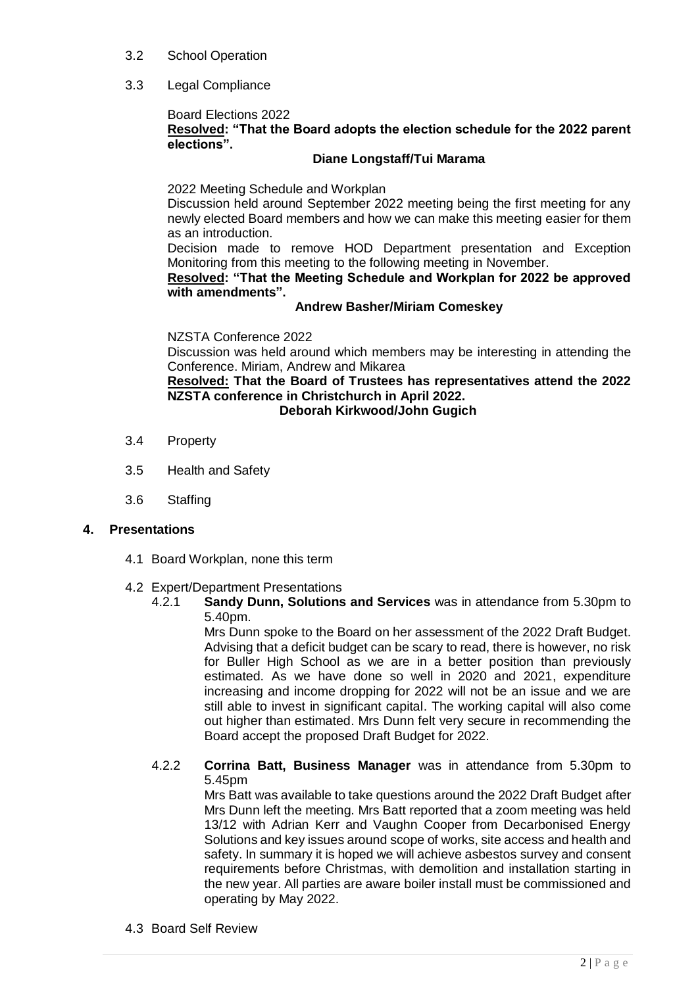- 3.2 School Operation
- 3.3 Legal Compliance

#### Board Elections 2022 **Resolved: "That the Board adopts the election schedule for the 2022 parent elections".**

## **Diane Longstaff/Tui Marama**

2022 Meeting Schedule and Workplan

Discussion held around September 2022 meeting being the first meeting for any newly elected Board members and how we can make this meeting easier for them as an introduction.

Decision made to remove HOD Department presentation and Exception Monitoring from this meeting to the following meeting in November.

**Resolved: "That the Meeting Schedule and Workplan for 2022 be approved with amendments".** 

## **Andrew Basher/Miriam Comeskey**

NZSTA Conference 2022

Discussion was held around which members may be interesting in attending the Conference. Miriam, Andrew and Mikarea

**Resolved: That the Board of Trustees has representatives attend the 2022 NZSTA conference in Christchurch in April 2022.**

**Deborah Kirkwood/John Gugich**

- 3.4 Property
- 3.5 Health and Safety
- 3.6 Staffing

## **4. Presentations**

- 4.1 Board Workplan, none this term
- 4.2 Expert/Department Presentations
	- 4.2.1 **Sandy Dunn, Solutions and Services** was in attendance from 5.30pm to 5.40pm.

Mrs Dunn spoke to the Board on her assessment of the 2022 Draft Budget. Advising that a deficit budget can be scary to read, there is however, no risk for Buller High School as we are in a better position than previously estimated. As we have done so well in 2020 and 2021, expenditure increasing and income dropping for 2022 will not be an issue and we are still able to invest in significant capital. The working capital will also come out higher than estimated. Mrs Dunn felt very secure in recommending the Board accept the proposed Draft Budget for 2022.

4.2.2 **Corrina Batt, Business Manager** was in attendance from 5.30pm to 5.45pm

Mrs Batt was available to take questions around the 2022 Draft Budget after Mrs Dunn left the meeting. Mrs Batt reported that a zoom meeting was held 13/12 with Adrian Kerr and Vaughn Cooper from Decarbonised Energy Solutions and key issues around scope of works, site access and health and safety. In summary it is hoped we will achieve asbestos survey and consent requirements before Christmas, with demolition and installation starting in the new year. All parties are aware boiler install must be commissioned and operating by May 2022.

4.3 Board Self Review